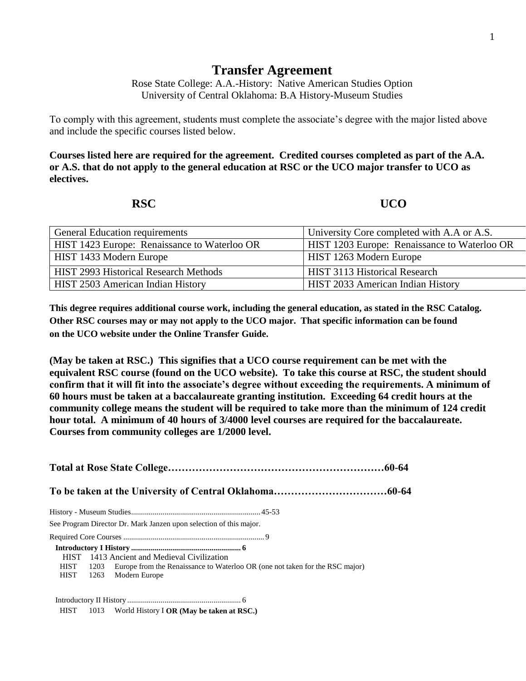## **Transfer Agreement**

Rose State College: A.A.-History: Native American Studies Option University of Central Oklahoma: B.A History-Museum Studies

To comply with this agreement, students must complete the associate's degree with the major listed above and include the specific courses listed below.

**Courses listed here are required for the agreement. Credited courses completed as part of the A.A. or A.S. that do not apply to the general education at RSC or the UCO major transfer to UCO as electives.**

**RSC UCO** 

| <b>General Education requirements</b>        | University Core completed with A.A or A.S.   |
|----------------------------------------------|----------------------------------------------|
| HIST 1423 Europe: Renaissance to Waterloo OR | HIST 1203 Europe: Renaissance to Waterloo OR |
| HIST 1433 Modern Europe                      | HIST 1263 Modern Europe                      |
| <b>HIST 2993 Historical Research Methods</b> | HIST 3113 Historical Research                |
| HIST 2503 American Indian History            | HIST 2033 American Indian History            |

**This degree requires additional course work, including the general education, as stated in the RSC Catalog. Other RSC courses may or may not apply to the UCO major. That specific information can be found on the UCO website under the Online Transfer Guide.**

**(May be taken at RSC.) This signifies that a UCO course requirement can be met with the equivalent RSC course (found on the UCO website). To take this course at RSC, the student should confirm that it will fit into the associate's degree without exceeding the requirements. A minimum of 60 hours must be taken at a baccalaureate granting institution. Exceeding 64 credit hours at the community college means the student will be required to take more than the minimum of 124 credit hour total. A minimum of 40 hours of 3/4000 level courses are required for the baccalaureate. Courses from community colleges are 1/2000 level.**

|             |      | See Program Director Dr. Mark Janzen upon selection of this major.           |  |  |  |  |
|-------------|------|------------------------------------------------------------------------------|--|--|--|--|
|             |      |                                                                              |  |  |  |  |
|             |      |                                                                              |  |  |  |  |
|             |      | HIST 1413 Ancient and Medieval Civilization                                  |  |  |  |  |
| <b>HIST</b> | 1203 | Europe from the Renaissance to Waterloo OR (one not taken for the RSC major) |  |  |  |  |
| HIST        |      | 1263 Modern Europe                                                           |  |  |  |  |
|             |      |                                                                              |  |  |  |  |
|             |      | HIST $1013$ World History I OR (May be taken at RSC.)                        |  |  |  |  |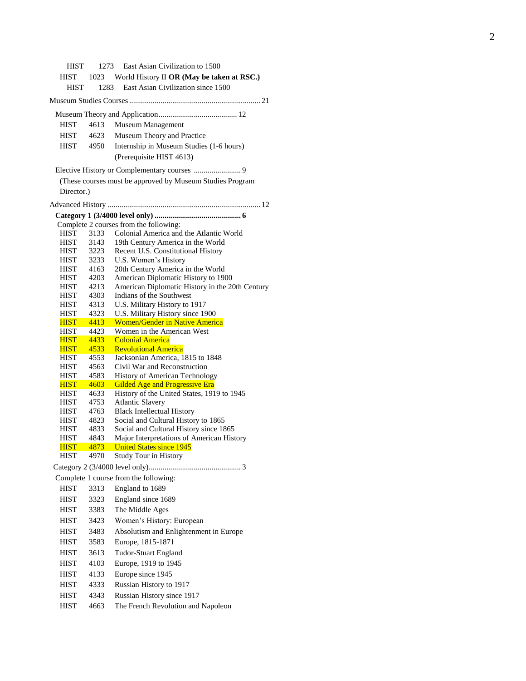HIST 1273 East Asian Civilization to 1500 HIST 1023 World History II **OR (May be taken at RSC.)** HIST 1283 East Asian Civilization since 1500 Museum Studies Courses................................................................... 21 Museum Theory and Application........................................ 12 HIST 4613 Museum Management HIST 4623 Museum Theory and Practice HIST 4950 Internship in Museum Studies (1 -6 hours) (Prerequisite HIST 4613) Elective History or Complementary courses ........................ 9 (These courses must be approved by Museum Studies Program Director.) Advanced History .............................................................................. 12  **Category 1 (3/4000 level only) ............................................ 6** Complete 2 courses from the following: HIST 3133 Colonial America and the Atlantic World HIST 3143 19th Century America in the World HIST 3223 Recent U.S. Constitutional History HIST 3233 U.S. Women's History HIST 4163 20th Century America in the World HIST 4203 American Diplomatic History to 1900 HIST 4213 American Diplomatic History in the 20th Century HIST 4303 Indians of the Southwest HIST 4313 U.S. Military History to 1917 HIST 4323 U.S. Military History since 1900 HIST 4413 Women/Gender in Native America HIST 4423 Women in the American West HIST 4433 Colonial America HIST 4533 Revolutional America HIST 4553 Jacksonian America, 1815 to 1848 HIST 4563 Civil War and Reconstruction HIST 4583 History of American Technology HIST 4603 Gilded Age and Progressive Era HIST 4633 History of the United States, 1919 to 1945 HIST 4753 Atlantic Slavery HIST 4763 Black Intellectual History **HIST** 4823 Social and Cultural History to 1865 HIST 4833 Social and Cultural History since 1865 HIST 4843 Major Interpretations of American History HIST 4873 United States since 1945 HIST 4970 Study Tour in History Category 2 (3/4000 level only)............................................... 3 Complete 1 course from the following: HIST 3313 England to 1689 HIST 3323 England since 1689 HIST 3383 The Middle Ages HIST 3423 Women's History: European HIST 3483 Absolutism and Enlightenment in Europe HIST 3583 Europe, 1815 -1871 HIST 3613 Tudor -Stuart England HIST 4103 Europe, 1919 to 1945 HIST 4133 Europe since 1945 HIST 4333 Russian History to 1917 HIST 4343 Russian History since 1917 HIST 4663 The French Revolution and Napoleon